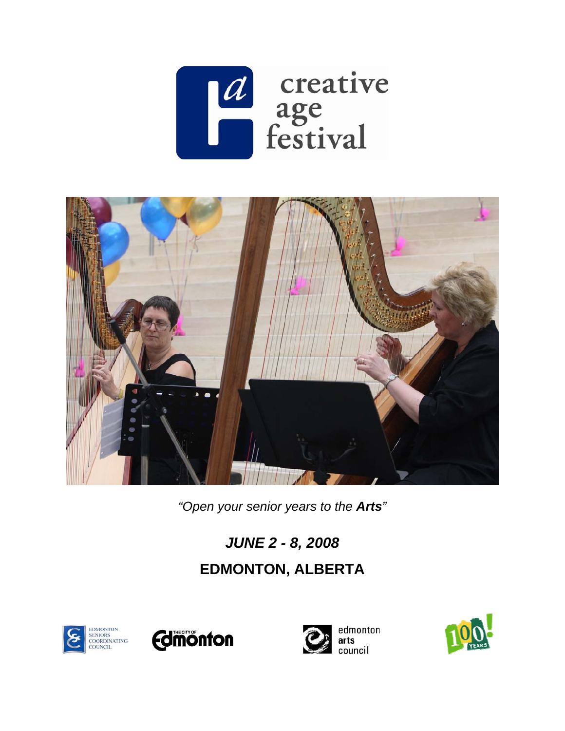



*"Open your senior years to the Arts"* 

# *JUNE 2 - 8, 2008*  **EDMONTON, ALBERTA**







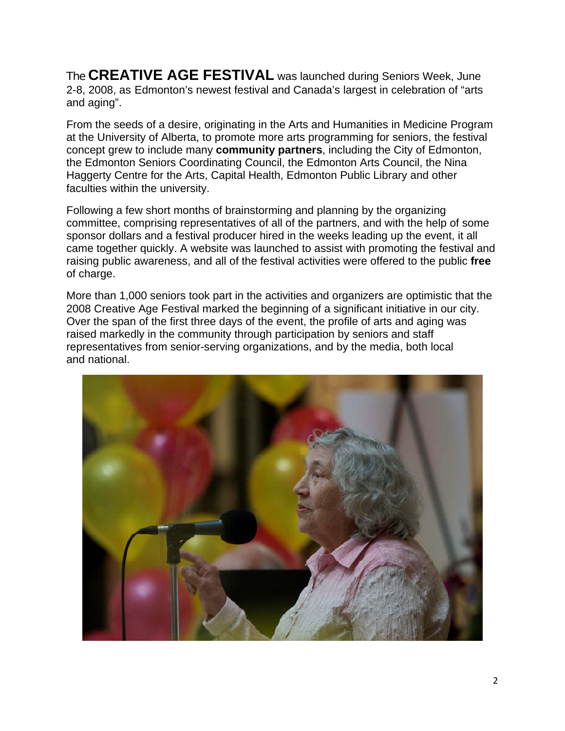The **CREATIVE AGE FESTIVAL** was launched during Seniors Week, June 2-8, 2008, as Edmonton's newest festival and Canada's largest in celebration of "arts and aging".

From the seeds of a desire, originating in the Arts and Humanities in Medicine Program at the University of Alberta, to promote more arts programming for seniors, the festival concept grew to include many **community partners**, including the City of Edmonton, the Edmonton Seniors Coordinating Council, the Edmonton Arts Council, the Nina Haggerty Centre for the Arts, Capital Health, Edmonton Public Library and other faculties within the university.

Following a few short months of brainstorming and planning by the organizing committee, comprising representatives of all of the partners, and with the help of some sponsor dollars and a festival producer hired in the weeks leading up the event, it all came together quickly. A website was launched to assist with promoting the festival and raising public awareness, and all of the festival activities were offered to the public **free** of charge.

More than 1,000 seniors took part in the activities and organizers are optimistic that the 2008 Creative Age Festival marked the beginning of a significant initiative in our city. Over the span of the first three days of the event, the profile of arts and aging was raised markedly in the community through participation by seniors and staff representatives from senior-serving organizations, and by the media, both local and national.

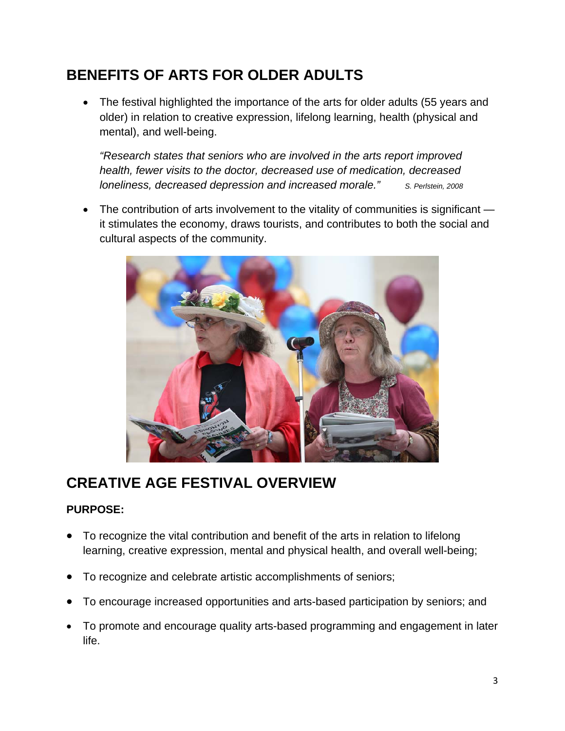# **BENEFITS OF ARTS FOR OLDER ADULTS**

• The festival highlighted the importance of the arts for older adults (55 years and older) in relation to creative expression, lifelong learning, health (physical and mental), and well-being.

*"Research states that seniors who are involved in the arts report improved health, fewer visits to the doctor, decreased use of medication, decreased loneliness, decreased depression and increased morale."* S. Perlstein, 2008

• The contribution of arts involvement to the vitality of communities is significant it stimulates the economy, draws tourists, and contributes to both the social and cultural aspects of the community.



# **CREATIVE AGE FESTIVAL OVERVIEW**

#### **PURPOSE:**

- To recognize the vital contribution and benefit of the arts in relation to lifelong learning, creative expression, mental and physical health, and overall well-being;
- To recognize and celebrate artistic accomplishments of seniors;
- To encourage increased opportunities and arts-based participation by seniors; and
- To promote and encourage quality arts-based programming and engagement in later life.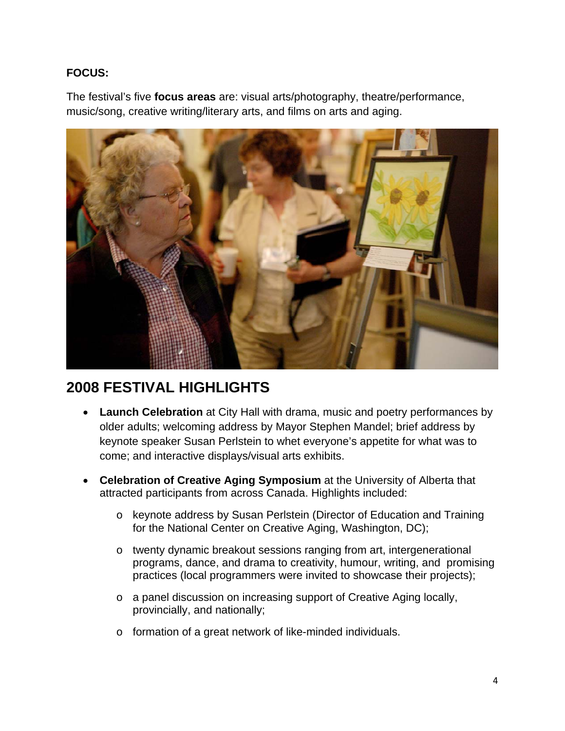#### **FOCUS:**

The festival's five **focus areas** are: visual arts/photography, theatre/performance, music/song, creative writing/literary arts, and films on arts and aging.



### **2008 FESTIVAL HIGHLIGHTS**

- **Launch Celebration** at City Hall with drama, music and poetry performances by older adults; welcoming address by Mayor Stephen Mandel; brief address by keynote speaker Susan Perlstein to whet everyone's appetite for what was to come; and interactive displays/visual arts exhibits.
- **Celebration of Creative Aging Symposium** at the University of Alberta that attracted participants from across Canada. Highlights included:
	- o keynote address by Susan Perlstein (Director of Education and Training for the National Center on Creative Aging, Washington, DC);
	- o twenty dynamic breakout sessions ranging from art, intergenerational programs, dance, and drama to creativity, humour, writing, and promising practices (local programmers were invited to showcase their projects);
	- o a panel discussion on increasing support of Creative Aging locally, provincially, and nationally;
	- o formation of a great network of like-minded individuals.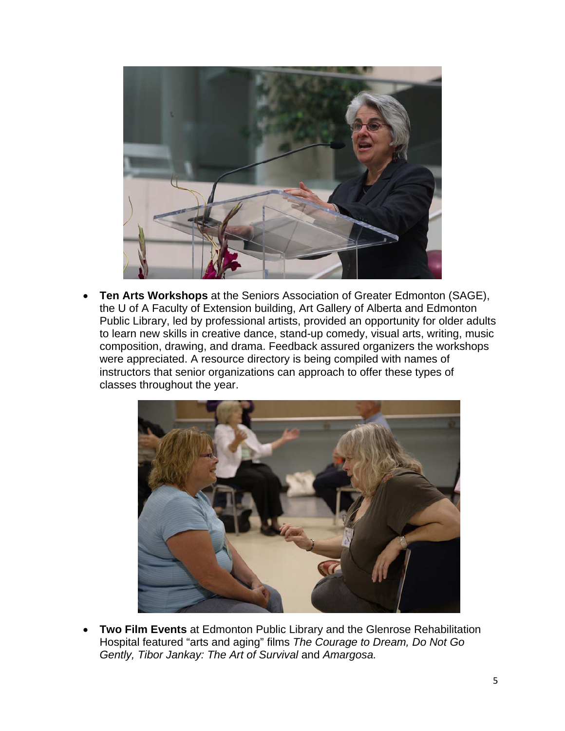

• **Ten Arts Workshops** at the Seniors Association of Greater Edmonton (SAGE), the U of A Faculty of Extension building, Art Gallery of Alberta and Edmonton Public Library, led by professional artists, provided an opportunity for older adults to learn new skills in creative dance, stand-up comedy, visual arts, writing, music composition, drawing, and drama. Feedback assured organizers the workshops were appreciated. A resource directory is being compiled with names of instructors that senior organizations can approach to offer these types of classes throughout the year.



• **Two Film Events** at Edmonton Public Library and the Glenrose Rehabilitation Hospital featured "arts and aging" films *The Courage to Dream, Do Not Go Gently, Tibor Jankay: The Art of Survival* and Amargosa.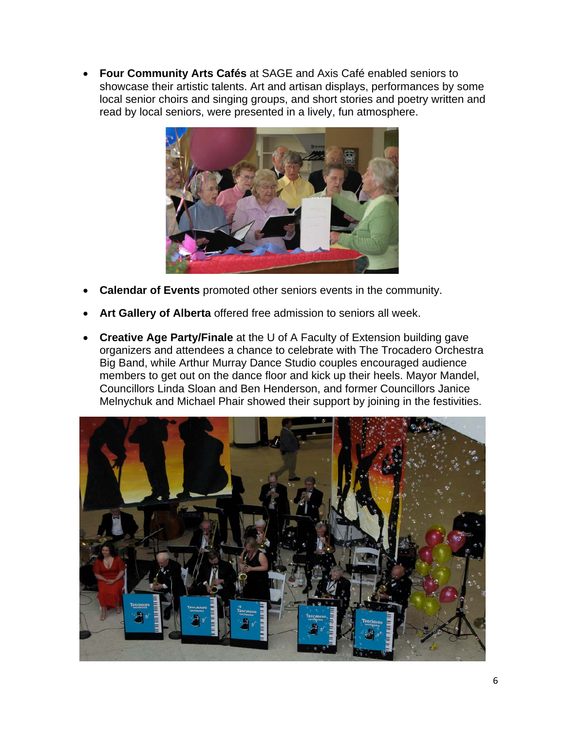• **Four Community Arts Cafés** at SAGE and Axis Café enabled seniors to showcase their artistic talents. Art and artisan displays, performances by some local senior choirs and singing groups, and short stories and poetry written and read by local seniors, were presented in a lively, fun atmosphere.



- **Calendar of Events** promoted other seniors events in the community.
- **Art Gallery of Alberta** offered free admission to seniors all week.
- **Creative Age Party/Finale** at the U of A Faculty of Extension building gave organizers and attendees a chance to celebrate with The Trocadero Orchestra Big Band, while Arthur Murray Dance Studio couples encouraged audience members to get out on the dance floor and kick up their heels. Mayor Mandel, Councillors Linda Sloan and Ben Henderson, and former Councillors Janice Melnychuk and Michael Phair showed their support by joining in the festivities.

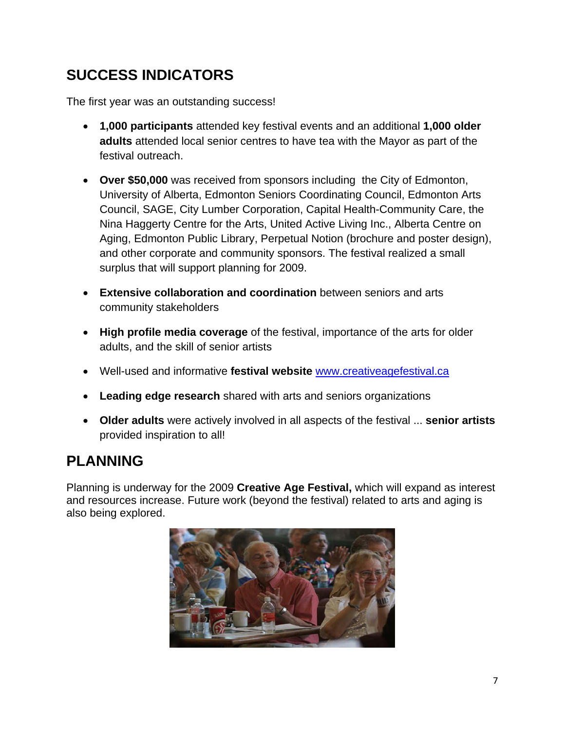# **SUCCESS INDICATORS**

The first year was an outstanding success!

- **1,000 participants** attended key festival events and an additional **1,000 older adults** attended local senior centres to have tea with the Mayor as part of the festival outreach.
- **Over \$50,000** was received from sponsors including the City of Edmonton, University of Alberta, Edmonton Seniors Coordinating Council, Edmonton Arts Council, SAGE, City Lumber Corporation, Capital Health-Community Care, the Nina Haggerty Centre for the Arts, United Active Living Inc., Alberta Centre on Aging, Edmonton Public Library, Perpetual Notion (brochure and poster design), and other corporate and community sponsors. The festival realized a small surplus that will support planning for 2009.
- **Extensive collaboration and coordination** between seniors and arts community stakeholders
- **High profile media coverage** of the festival, importance of the arts for older adults, and the skill of senior artists
- Well-used and informative **festival website** www.creativeagefestival.ca
- **Leading edge research** shared with arts and seniors organizations
- **Older adults** were actively involved in all aspects of the festival ... **senior artists** provided inspiration to all!

### **PLANNING**

Planning is underway for the 2009 **Creative Age Festival,** which will expand as interest and resources increase. Future work (beyond the festival) related to arts and aging is also being explored.